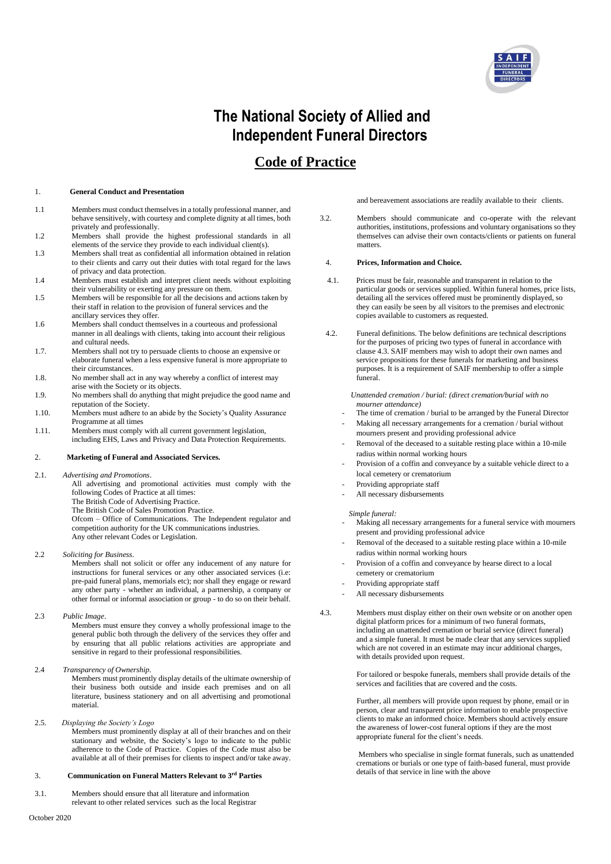

# **The National Society of Allied and Independent Funeral Directors**

## **Code of Practice**

#### 1. **General Conduct and Presentation**

- 1.1 Members must conduct themselves in a totally professional manner, and behave sensitively, with courtesy and complete dignity at all times, both privately and professionally.
- 1.2 Members shall provide the highest professional standards in all elements of the service they provide to each individual client(s).
- 1.3 Members shall treat as confidential all information obtained in relation to their clients and carry out their duties with total regard for the laws of privacy and data protection.
- 1.4 Members must establish and interpret client needs without exploiting their vulnerability or exerting any pressure on them.
- 1.5 Members will be responsible for all the decisions and actions taken by their staff in relation to the provision of funeral services and the ancillary services they offer.
- 1.6 Members shall conduct themselves in a courteous and professional manner in all dealings with clients, taking into account their religious and cultural needs.
- 1.7. Members shall not try to persuade clients to choose an expensive or elaborate funeral when a less expensive funeral is more appropriate to their circumstances.
- 1.8. No member shall act in any way whereby a conflict of interest may arise with the Society or its objects.
- 1.9. No members shall do anything that might prejudice the good name and reputation of the Society.
- 1.10. Members must adhere to an abide by the Society's Quality Assurance Programme at all times
- 1.11. Members must comply with all current government legislation, including EHS, Laws and Privacy and Data Protection Requirements.

#### 2. **Marketing of Funeral and Associated Services.**

2.1. *Advertising and Promotions*.

All advertising and promotional activities must comply with the following Codes of Practice at all times: The British Code of Advertising Practice. The British Code of Sales Promotion Practice.

Ofcom – Office of Communications. The Independent regulator and competition authority for the UK communications industries. Any other relevant Codes or Legislation.

2.2 *Soliciting for Business*.

Members shall not solicit or offer any inducement of any nature for instructions for funeral services or any other associated services (i.e: pre-paid funeral plans, memorials etc); nor shall they engage or reward any other party - whether an individual, a partnership, a company or other formal or informal association or group - to do so on their behalf.

2.3 *Public Image*.

Members must ensure they convey a wholly professional image to the general public both through the delivery of the services they offer and by ensuring that all public relations activities are appropriate and sensitive in regard to their professional responsibilities.

2.4 *Transparency of Ownership*.

Members must prominently display details of the ultimate ownership of their business both outside and inside each premises and on all literature, business stationery and on all advertising and promotional material.

2.5. *Displaying the Society's Logo* Members must prominently display at all of their branches and on their stationary and website, the Society's logo to indicate to the public adherence to the Code of Practice. Copies of the Code must also be available at all of their premises for clients to inspect and/or take away.

#### 3. **Communication on Funeral Matters Relevant to 3rd Parties**

3.1. Members should ensure that all literature and information relevant to other related services such as the local Registrar and bereavement associations are readily available to their clients.

3.2. Members should communicate and co-operate with the relevant authorities, institutions, professions and voluntary organisations so they themselves can advise their own contacts/clients or patients on funeral matters.

#### 4. **Prices, Information and Choice.**

- 4.1. Prices must be fair, reasonable and transparent in relation to the particular goods or services supplied. Within funeral homes, price lists, detailing all the services offered must be prominently displayed, so they can easily be seen by all visitors to the premises and electronic copies available to customers as requested.
- 4.2. Funeral definitions. The below definitions are technical descriptions for the purposes of pricing two types of funeral in accordance with clause 4.3. SAIF members may wish to adopt their own names and service propositions for these funerals for marketing and business purposes. It is a requirement of SAIF membership to offer a simple funeral.

 *Unattended cremation / burial: (direct cremation/burial with no mourner attendance)*

- The time of cremation / burial to be arranged by the Funeral Director
- Making all necessary arrangements for a cremation / burial without mourners present and providing professional advice
- Removal of the deceased to a suitable resting place within a 10-mile radius within normal working hours
- Provision of a coffin and conveyance by a suitable vehicle direct to a local cemetery or crematorium
- Providing appropriate staff
- All necessary disbursements

*Simple funeral:*

- Making all necessary arrangements for a funeral service with mourners present and providing professional advice
- Removal of the deceased to a suitable resting place within a 10-mile radius within normal working hours
- Provision of a coffin and conveyance by hearse direct to a local cemetery or crematorium
- Providing appropriate staff
- All necessary disbursements
- 4.3. Members must display either on their own website or on another open digital platform prices for a minimum of two funeral formats, including an unattended cremation or burial service (direct funeral) and a simple funeral. It must be made clear that any services supplied which are not covered in an estimate may incur additional charges, with details provided upon request.

 For tailored or bespoke funerals, members shall provide details of the services and facilities that are covered and the costs.

 Further, all members will provide upon request by phone, email or in person, clear and transparent price information to enable prospective clients to make an informed choice. Members should actively ensure the awareness of lower-cost funeral options if they are the most appropriate funeral for the client's needs.

 Members who specialise in single format funerals, such as unattended cremations or burials or one type of faith-based funeral, must provide details of that service in line with the above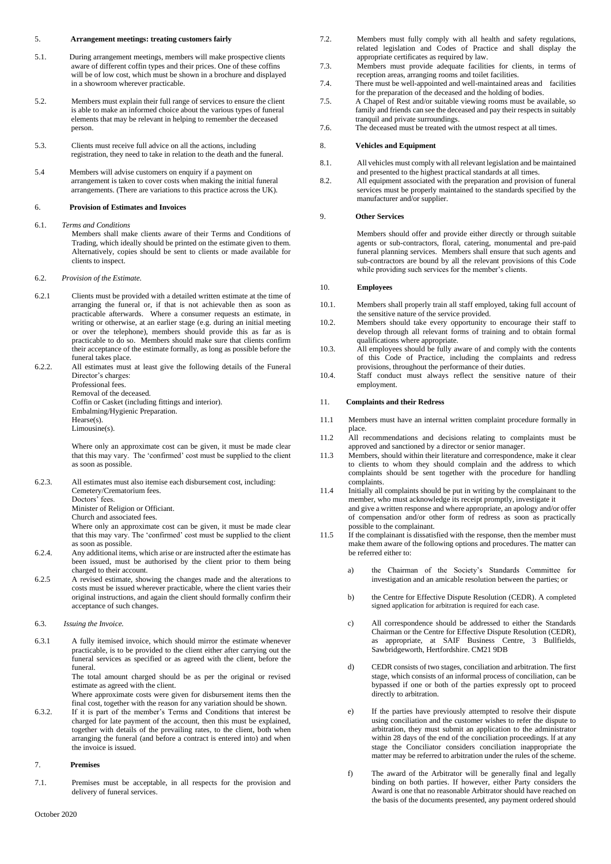#### 5. **Arrangement meetings: treating customers fairly**

- 5.1. During arrangement meetings, members will make prospective clients aware of different coffin types and their prices. One of these coffins will be of low cost, which must be shown in a brochure and displayed in a showroom wherever practicable.
- 5.2. Members must explain their full range of services to ensure the client is able to make an informed choice about the various types of funeral elements that may be relevant in helping to remember the deceased person.
- 5.3. Clients must receive full advice on all the actions, including registration, they need to take in relation to the death and the funeral.
- 5.4 Members will advise customers on enquiry if a payment on arrangement is taken to cover costs when making the initial funeral arrangements. (There are variations to this practice across the UK).

#### 6. **Provision of Estimates and Invoices**

- 6.1. *Terms and Conditions*
	- Members shall make clients aware of their Terms and Conditions of Trading, which ideally should be printed on the estimate given to them. Alternatively, copies should be sent to clients or made available for clients to inspect.
- 6.2. *Provision of the Estimate.*
- 6.2.1 Clients must be provided with a detailed written estimate at the time of arranging the funeral or, if that is not achievable then as soon as practicable afterwards. Where a consumer requests an estimate, in writing or otherwise, at an earlier stage (e.g. during an initial meeting or over the telephone), members should provide this as far as is practicable to do so. Members should make sure that clients confirm their acceptance of the estimate formally, as long as possible before the funeral takes place.
- 6.2.2. All estimates must at least give the following details of the Funeral Director's charges: Professional fees. Removal of the deceased. Coffin or Casket (including fittings and interior). Embalming/Hygienic Preparation. Hearse(s). Limousine(s).

Where only an approximate cost can be given, it must be made clear that this may vary. The 'confirmed' cost must be supplied to the client as soon as possible.

6.2.3. All estimates must also itemise each disbursement cost, including: Cemetery/Crematorium fees. Doctors' fees. Minister of Religion or Officiant.

Church and associated fees.

Where only an approximate cost can be given, it must be made clear that this may vary. The 'confirmed' cost must be supplied to the client as soon as possible.

- 6.2.4. Any additional items, which arise or are instructed after the estimate has been issued, must be authorised by the client prior to them being charged to their account.
- 6.2.5 A revised estimate, showing the changes made and the alterations to costs must be issued wherever practicable, where the client varies their original instructions, and again the client should formally confirm their acceptance of such changes.
- 6.3. *Issuing the Invoice.*

6.3.1 A fully itemised invoice, which should mirror the estimate whenever practicable, is to be provided to the client either after carrying out the funeral services as specified or as agreed with the client, before the funeral.

The total amount charged should be as per the original or revised estimate as agreed with the client.

Where approximate costs were given for disbursement items then the final cost, together with the reason for any variation should be shown.

6.3.2. If it is part of the member's Terms and Conditions that interest be charged for late payment of the account, then this must be explained, together with details of the prevailing rates, to the client, both when arranging the funeral (and before a contract is entered into) and when the invoice is issued.

#### 7. **Premises**

7.1. Premises must be acceptable, in all respects for the provision and delivery of funeral services.

- 7.2. Members must fully comply with all health and safety regulations, related legislation and Codes of Practice and shall display the appropriate certificates as required by law.
- 7.3. Members must provide adequate facilities for clients, in terms of reception areas, arranging rooms and toilet facilities.
- 7.4. There must be well-appointed and well-maintained areas and facilities for the preparation of the deceased and the holding of bodies.
- 7.5. A Chapel of Rest and/or suitable viewing rooms must be available, so family and friends can see the deceased and pay their respects in suitably tranquil and private surroundings.
- 7.6. The deceased must be treated with the utmost respect at all times.

#### 8. **Vehicles and Equipment**

- 8.1. All vehicles must comply with all relevant legislation and be maintained and presented to the highest practical standards at all times.
- 8.2. All equipment associated with the preparation and provision of funeral services must be properly maintained to the standards specified by the manufacturer and/or supplier.

#### 9. **Other Services**

Members should offer and provide either directly or through suitable agents or sub-contractors, floral, catering, monumental and pre-paid funeral planning services. Members shall ensure that such agents and sub-contractors are bound by all the relevant provisions of this Code while providing such services for the member's clients.

#### 10. **Employees**

- 10.1. Members shall properly train all staff employed, taking full account of the sensitive nature of the service provided.
- 10.2. Members should take every opportunity to encourage their staff to develop through all relevant forms of training and to obtain formal qualifications where appropriate.
- 10.3. All employees should be fully aware of and comply with the contents of this Code of Practice, including the complaints and redress provisions, throughout the performance of their duties.
- 10.4. Staff conduct must always reflect the sensitive nature of their employment.

#### 11. **Complaints and their Redress**

- 11.1 Members must have an internal written complaint procedure formally in place.
- 11.2 All recommendations and decisions relating to complaints must be approved and sanctioned by a director or senior manager.
- 11.3 Members, should within their literature and correspondence, make it clear to clients to whom they should complain and the address to which complaints should be sent together with the procedure for handling complaints.
- 11.4 Initially all complaints should be put in writing by the complainant to the member, who must acknowledge its receipt promptly, investigate it and give a written response and where appropriate, an apology and/or offer of compensation and/or other form of redress as soon as practically possible to the complainant.
- 11.5 If the complainant is dissatisfied with the response, then the member must make them aware of the following options and procedures. The matter can be referred either to:
	- a) the Chairman of the Society's Standards Committee for investigation and an amicable resolution between the parties; or
	- b) the Centre for Effective Dispute Resolution (CEDR). A completed signed application for arbitration is required for each case.
	- c) All correspondence should be addressed to either the Standards Chairman or the Centre for Effective Dispute Resolution (CEDR), as appropriate, at SAIF Business Centre, 3 Bullfields, Sawbridgeworth, Hertfordshire. CM21 9DB
	- d) CEDR consists of two stages, conciliation and arbitration. The first stage, which consists of an informal process of conciliation, can be bypassed if one or both of the parties expressly opt to proceed directly to arbitration.
	- e) If the parties have previously attempted to resolve their dispute using conciliation and the customer wishes to refer the dispute to arbitration, they must submit an application to the administrator within 28 days of the end of the conciliation proceedings. lf at any stage the Conciliator considers conciliation inappropriate the matter may be referred to arbitration under the rules of the scheme.
	- f) The award of the Arbitrator will be generally final and legally binding on both parties. If however, either Party considers the Award is one that no reasonable Arbitrator should have reached on the basis of the documents presented, any payment ordered should